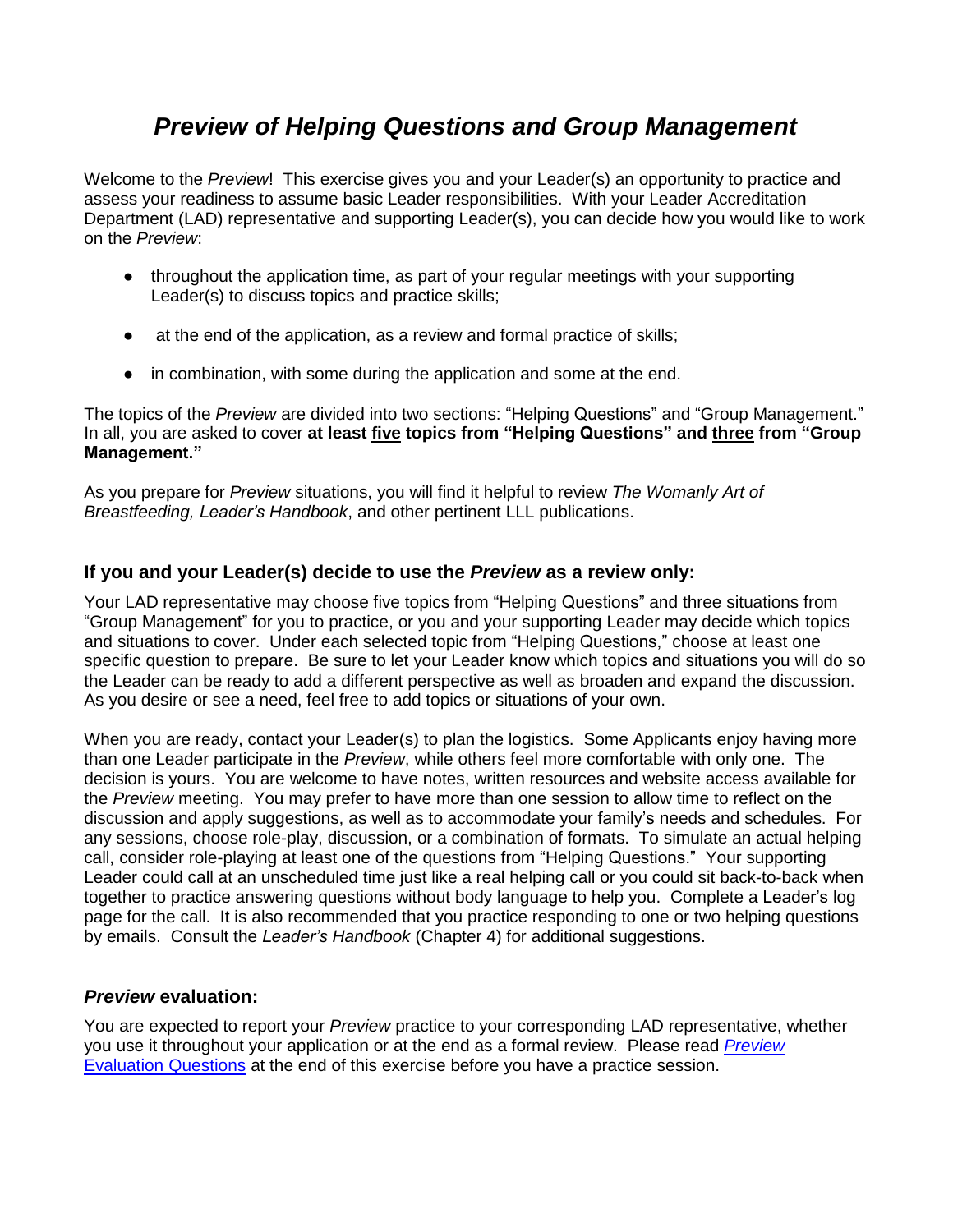# *Preview of Helping Questions and Group Management*

Welcome to the *Preview*! This exercise gives you and your Leader(s) an opportunity to practice and assess your readiness to assume basic Leader responsibilities. With your Leader Accreditation Department (LAD) representative and supporting Leader(s), you can decide how you would like to work on the *Preview*:

- throughout the application time, as part of your regular meetings with your supporting Leader(s) to discuss topics and practice skills;
- at the end of the application, as a review and formal practice of skills;
- in combination, with some during the application and some at the end.

The topics of the *Preview* are divided into two sections: "Helping Questions" and "Group Management." In all, you are asked to cover **at least five topics from "Helping Questions" and three from "Group Management."**

As you prepare for *Preview* situations, you will find it helpful to review *The Womanly Art of Breastfeeding, Leader's Handbook*, and other pertinent LLL publications.

## **If you and your Leader(s) decide to use the** *Preview* **as a review only:**

Your LAD representative may choose five topics from "Helping Questions" and three situations from "Group Management" for you to practice, or you and your supporting Leader may decide which topics and situations to cover. Under each selected topic from "Helping Questions," choose at least one specific question to prepare. Be sure to let your Leader know which topics and situations you will do so the Leader can be ready to add a different perspective as well as broaden and expand the discussion. As you desire or see a need, feel free to add topics or situations of your own.

When you are ready, contact your Leader(s) to plan the logistics. Some Applicants enjoy having more than one Leader participate in the *Preview*, while others feel more comfortable with only one. The decision is yours. You are welcome to have notes, written resources and website access available for the *Preview* meeting. You may prefer to have more than one session to allow time to reflect on the discussion and apply suggestions, as well as to accommodate your family's needs and schedules. For any sessions, choose role-play, discussion, or a combination of formats. To simulate an actual helping call, consider role-playing at least one of the questions from "Helping Questions." Your supporting Leader could call at an unscheduled time just like a real helping call or you could sit back-to-back when together to practice answering questions without body language to help you. Complete a Leader's log page for the call. It is also recommended that you practice responding to one or two helping questions by emails. Consult the *Leader's Handbook* (Chapter 4) for additional suggestions.

## *Preview* **evaluation:**

You are expected to report your *Preview* practice to your corresponding LAD representative, whether you use it throughout your application or at the end as a formal review. Please read *[Preview](#page-7-0)* [Evaluation](#page-7-0) Questions at the end of this exercise before you have a practice session.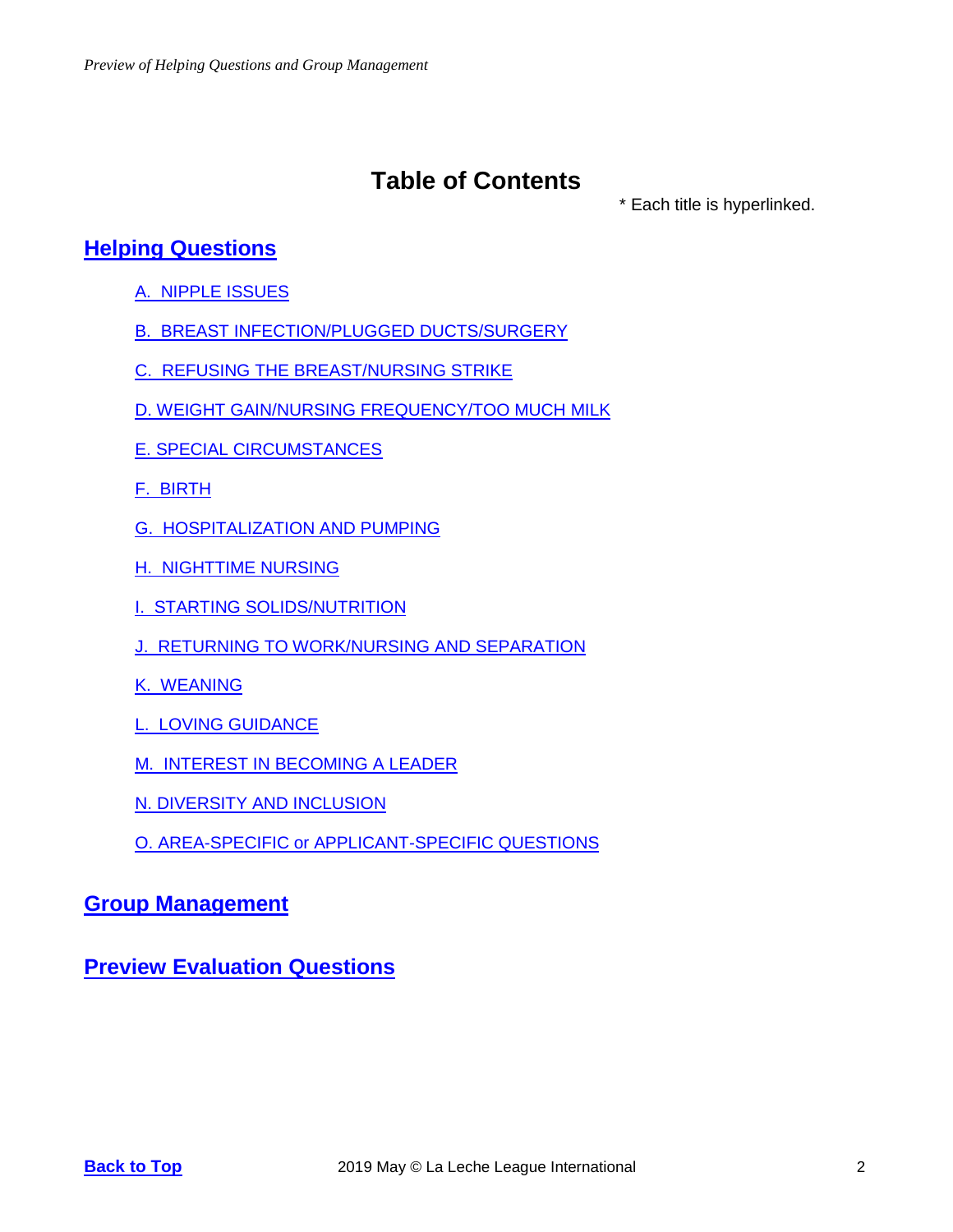# <span id="page-1-0"></span>**Table of Contents**

\* Each title is hyperlinked.

## **Helping [Questions](#page-2-0)**

- [A. NIPPLE](#page-2-1) ISSUES
- B. BREAST [INFECTION/PLUGGED](#page-2-2) DUCTS/SURGERY
- C. REFUSING THE [BREAST/NURSING](#page-2-3) STRIKE
- D. WEIGHT GAIN/NURSING [FREQUENCY/TOO](#page-2-4) MUCH MILK
- E. SPECIAL [CIRCUMSTANCES](#page-3-0)
- [F. BIRTH](#page-3-1)
- [G. HOSPITALIZATION](#page-3-2) AND PUMPING
- [H. NIGHTTIME](#page-3-3) NURSING
- I. STARTING [SOLIDS/NUTRITION](#page-3-4)
- J. RETURNING TO [WORK/NURSING](#page-4-0) AND SEPARATION
- [K. WEANING](#page-4-1)
- L. LOVING [GUIDANCE](#page-4-2)
- [M. INTEREST](#page-5-0) IN BECOMING A LEADER
- N. DIVERSITY AND [INCLUSION](#page-5-1)
- O. AREA-SPECIFIC or [APPLICANT-SPECIFIC](#page-5-2) QUESTIONS

## **Group [Management](#page-6-0)**

**Preview [Evaluation](#page-7-0) Questions**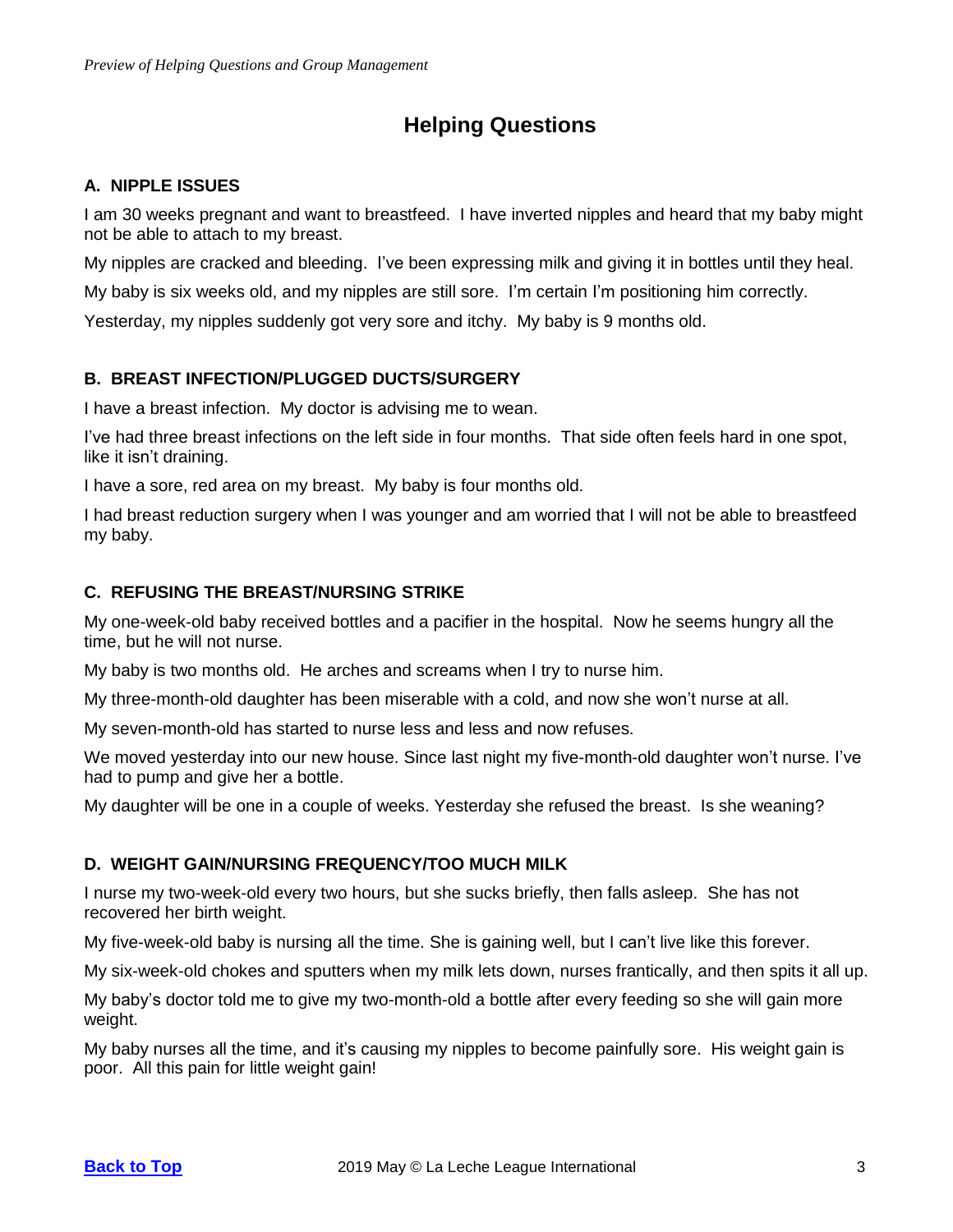## **Helping Questions**

### <span id="page-2-1"></span><span id="page-2-0"></span>**A. NIPPLE ISSUES**

I am 30 weeks pregnant and want to breastfeed. I have inverted nipples and heard that my baby might not be able to attach to my breast.

My nipples are cracked and bleeding. I've been expressing milk and giving it in bottles until they heal.

My baby is six weeks old, and my nipples are still sore. I'm certain I'm positioning him correctly.

Yesterday, my nipples suddenly got very sore and itchy. My baby is 9 months old.

## <span id="page-2-2"></span>**B. BREAST INFECTION/PLUGGED DUCTS/SURGERY**

I have a breast infection. My doctor is advising me to wean.

I've had three breast infections on the left side in four months. That side often feels hard in one spot, like it isn't draining.

I have a sore, red area on my breast. My baby is four months old.

I had breast reduction surgery when I was younger and am worried that I will not be able to breastfeed my baby.

### <span id="page-2-3"></span>**C. REFUSING THE BREAST/NURSING STRIKE**

My one-week-old baby received bottles and a pacifier in the hospital. Now he seems hungry all the time, but he will not nurse.

My baby is two months old. He arches and screams when I try to nurse him.

My three-month-old daughter has been miserable with a cold, and now she won't nurse at all.

My seven-month-old has started to nurse less and less and now refuses.

We moved yesterday into our new house. Since last night my five-month-old daughter won't nurse. I've had to pump and give her a bottle.

My daughter will be one in a couple of weeks. Yesterday she refused the breast. Is she weaning?

#### <span id="page-2-4"></span>**D. WEIGHT GAIN/NURSING FREQUENCY/TOO MUCH MILK**

I nurse my two-week-old every two hours, but she sucks briefly, then falls asleep. She has not recovered her birth weight.

My five-week-old baby is nursing all the time. She is gaining well, but I can't live like this forever.

My six-week-old chokes and sputters when my milk lets down, nurses frantically, and then spits it all up.

My baby's doctor told me to give my two-month-old a bottle after every feeding so she will gain more weight.

My baby nurses all the time, and it's causing my nipples to become painfully sore. His weight gain is poor. All this pain for little weight gain!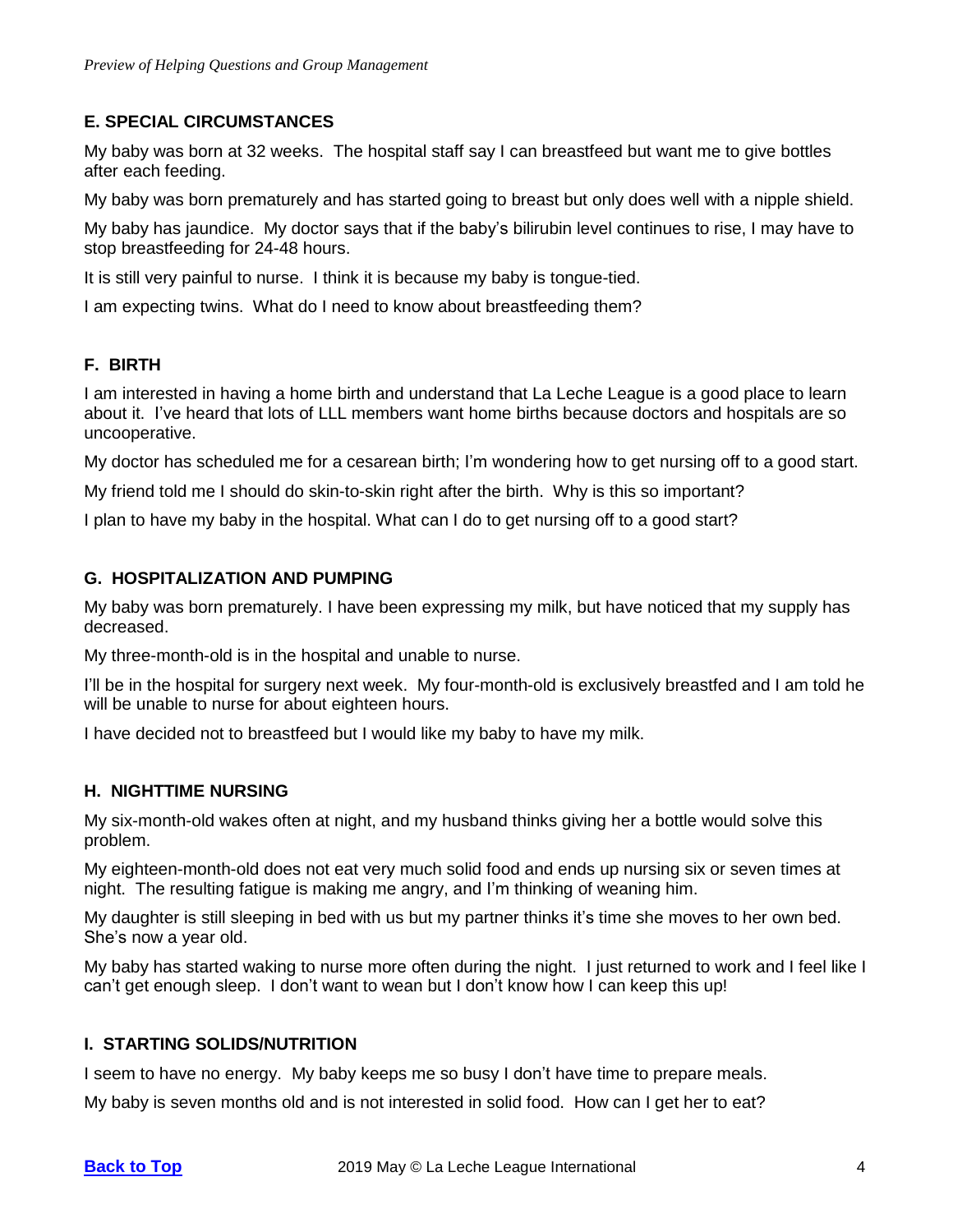#### <span id="page-3-0"></span>**E. SPECIAL CIRCUMSTANCES**

My baby was born at 32 weeks. The hospital staff say I can breastfeed but want me to give bottles after each feeding.

My baby was born prematurely and has started going to breast but only does well with a nipple shield.

My baby has jaundice. My doctor says that if the baby's bilirubin level continues to rise, I may have to stop breastfeeding for 24-48 hours.

It is still very painful to nurse. I think it is because my baby is tongue-tied.

I am expecting twins. What do I need to know about breastfeeding them?

#### <span id="page-3-1"></span>**F. BIRTH**

I am interested in having a home birth and understand that La Leche League is a good place to learn about it. I've heard that lots of LLL members want home births because doctors and hospitals are so uncooperative.

My doctor has scheduled me for a cesarean birth; I'm wondering how to get nursing off to a good start.

My friend told me I should do skin-to-skin right after the birth. Why is this so important?

I plan to have my baby in the hospital. What can I do to get nursing off to a good start?

#### <span id="page-3-2"></span>**G. HOSPITALIZATION AND PUMPING**

My baby was born prematurely. I have been expressing my milk, but have noticed that my supply has decreased.

My three-month-old is in the hospital and unable to nurse.

I'll be in the hospital for surgery next week. My four-month-old is exclusively breastfed and I am told he will be unable to nurse for about eighteen hours.

I have decided not to breastfeed but I would like my baby to have my milk.

#### <span id="page-3-3"></span>**H. NIGHTTIME NURSING**

My six-month-old wakes often at night, and my husband thinks giving her a bottle would solve this problem.

My eighteen-month-old does not eat very much solid food and ends up nursing six or seven times at night. The resulting fatigue is making me angry, and I'm thinking of weaning him.

My daughter is still sleeping in bed with us but my partner thinks it's time she moves to her own bed. She's now a year old.

My baby has started waking to nurse more often during the night. I just returned to work and I feel like I can't get enough sleep. I don't want to wean but I don't know how I can keep this up!

#### <span id="page-3-4"></span>**I. STARTING SOLIDS/NUTRITION**

I seem to have no energy. My baby keeps me so busy I don't have time to prepare meals.

My baby is seven months old and is not interested in solid food. How can I get her to eat?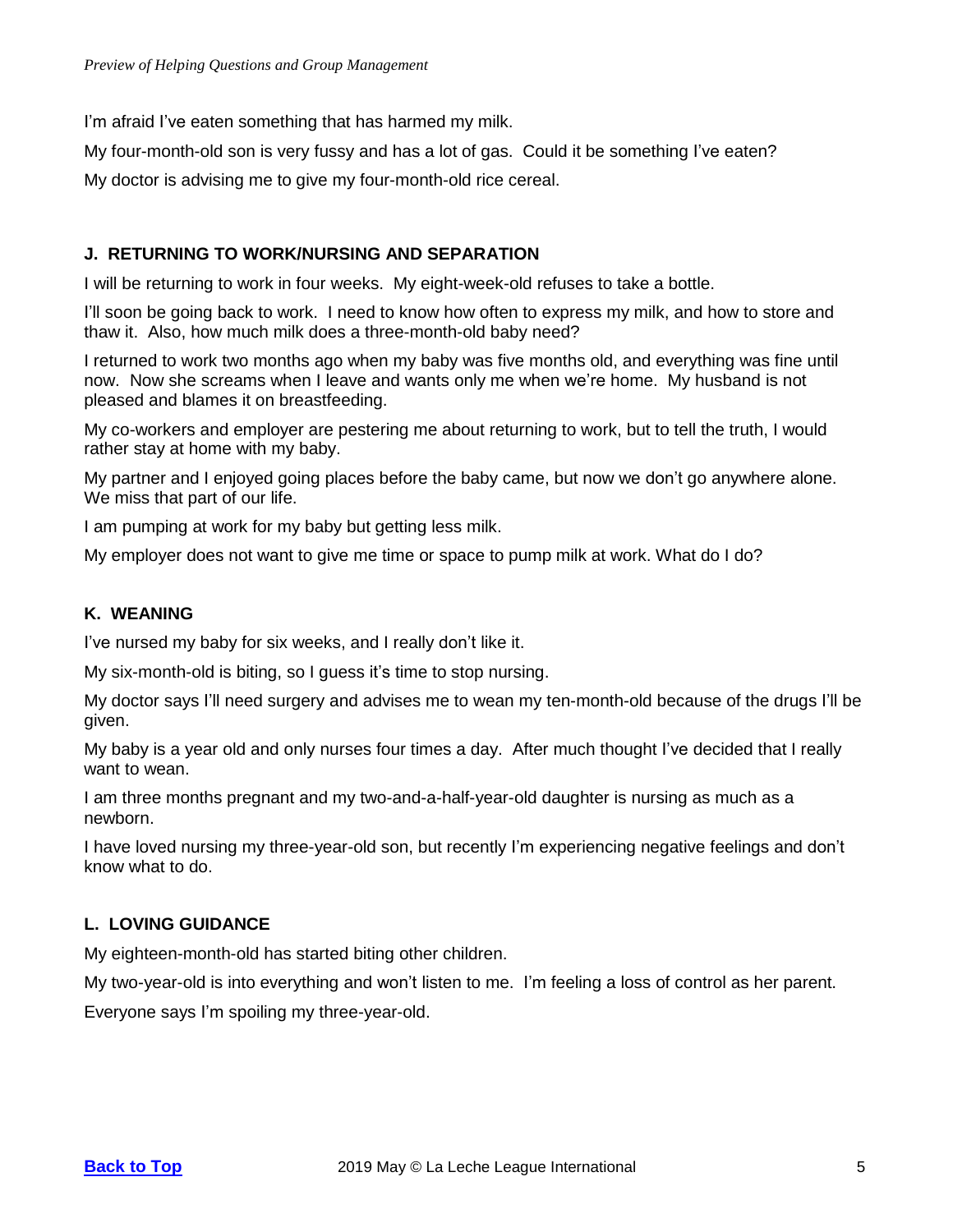I'm afraid I've eaten something that has harmed my milk.

My four-month-old son is very fussy and has a lot of gas. Could it be something I've eaten?

My doctor is advising me to give my four-month-old rice cereal.

#### <span id="page-4-0"></span>**J. RETURNING TO WORK/NURSING AND SEPARATION**

I will be returning to work in four weeks. My eight-week-old refuses to take a bottle.

I'll soon be going back to work. I need to know how often to express my milk, and how to store and thaw it. Also, how much milk does a three-month-old baby need?

I returned to work two months ago when my baby was five months old, and everything was fine until now. Now she screams when I leave and wants only me when we're home. My husband is not pleased and blames it on breastfeeding.

My co-workers and employer are pestering me about returning to work, but to tell the truth, I would rather stay at home with my baby.

My partner and I enjoyed going places before the baby came, but now we don't go anywhere alone. We miss that part of our life.

I am pumping at work for my baby but getting less milk.

My employer does not want to give me time or space to pump milk at work. What do I do?

#### <span id="page-4-1"></span>**K. WEANING**

I've nursed my baby for six weeks, and I really don't like it.

My six-month-old is biting, so I guess it's time to stop nursing.

My doctor says I'll need surgery and advises me to wean my ten-month-old because of the drugs I'll be given.

My baby is a year old and only nurses four times a day. After much thought I've decided that I really want to wean.

I am three months pregnant and my two-and-a-half-year-old daughter is nursing as much as a newborn.

I have loved nursing my three-year-old son, but recently I'm experiencing negative feelings and don't know what to do.

## <span id="page-4-2"></span>**L. LOVING GUIDANCE**

My eighteen-month-old has started biting other children.

My two-year-old is into everything and won't listen to me. I'm feeling a loss of control as her parent.

Everyone says I'm spoiling my three-year-old.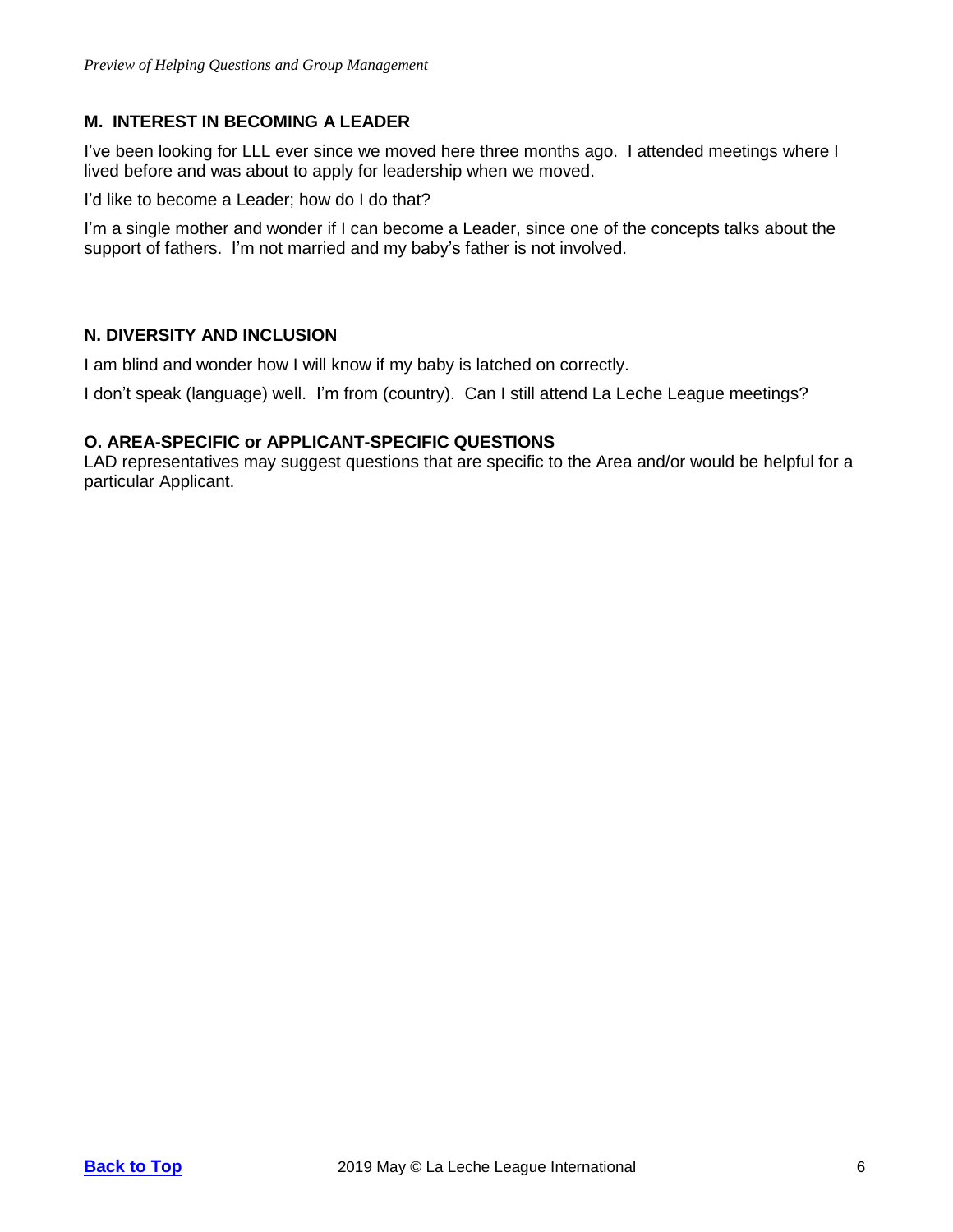#### <span id="page-5-0"></span>**M. INTEREST IN BECOMING A LEADER**

I've been looking for LLL ever since we moved here three months ago. I attended meetings where I lived before and was about to apply for leadership when we moved.

I'd like to become a Leader; how do I do that?

I'm a single mother and wonder if I can become a Leader, since one of the concepts talks about the support of fathers. I'm not married and my baby's father is not involved.

#### <span id="page-5-1"></span>**N. DIVERSITY AND INCLUSION**

I am blind and wonder how I will know if my baby is latched on correctly.

I don't speak (language) well. I'm from (country). Can I still attend La Leche League meetings?

#### <span id="page-5-2"></span>**O. AREA-SPECIFIC or APPLICANT-SPECIFIC QUESTIONS**

LAD representatives may suggest questions that are specific to the Area and/or would be helpful for a particular Applicant.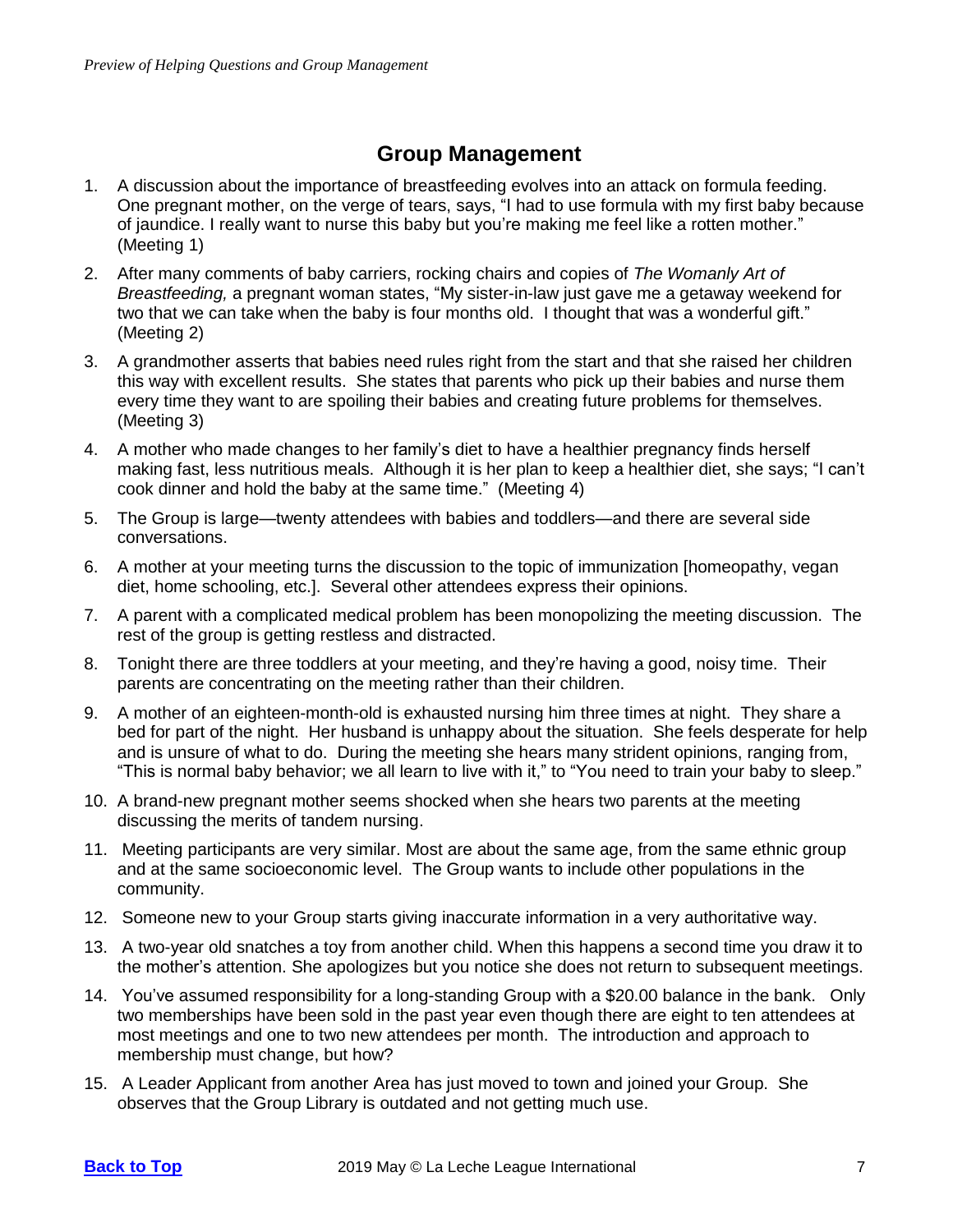## **Group Management**

- <span id="page-6-0"></span>1. A discussion about the importance of breastfeeding evolves into an attack on formula feeding. One pregnant mother, on the verge of tears, says, "I had to use formula with my first baby because of jaundice. I really want to nurse this baby but you're making me feel like a rotten mother." (Meeting 1)
- 2. After many comments of baby carriers, rocking chairs and copies of *The Womanly Art of Breastfeeding,* a pregnant woman states, "My sister-in-law just gave me a getaway weekend for two that we can take when the baby is four months old. I thought that was a wonderful gift." (Meeting 2)
- 3. A grandmother asserts that babies need rules right from the start and that she raised her children this way with excellent results. She states that parents who pick up their babies and nurse them every time they want to are spoiling their babies and creating future problems for themselves. (Meeting 3)
- 4. A mother who made changes to her family's diet to have a healthier pregnancy finds herself making fast, less nutritious meals. Although it is her plan to keep a healthier diet, she says; "I can't cook dinner and hold the baby at the same time." (Meeting 4)
- 5. The Group is large—twenty attendees with babies and toddlers—and there are several side conversations.
- 6. A mother at your meeting turns the discussion to the topic of immunization [homeopathy, vegan diet, home schooling, etc.]. Several other attendees express their opinions.
- 7. A parent with a complicated medical problem has been monopolizing the meeting discussion. The rest of the group is getting restless and distracted.
- 8. Tonight there are three toddlers at your meeting, and they're having a good, noisy time. Their parents are concentrating on the meeting rather than their children.
- 9. A mother of an eighteen-month-old is exhausted nursing him three times at night. They share a bed for part of the night. Her husband is unhappy about the situation. She feels desperate for help and is unsure of what to do. During the meeting she hears many strident opinions, ranging from, "This is normal baby behavior; we all learn to live with it," to "You need to train your baby to sleep."
- 10. A brand-new pregnant mother seems shocked when she hears two parents at the meeting discussing the merits of tandem nursing.
- 11. Meeting participants are very similar. Most are about the same age, from the same ethnic group and at the same socioeconomic level. The Group wants to include other populations in the community.
- 12. Someone new to your Group starts giving inaccurate information in a very authoritative way.
- 13. A two-year old snatches a toy from another child. When this happens a second time you draw it to the mother's attention. She apologizes but you notice she does not return to subsequent meetings.
- 14. You've assumed responsibility for a long-standing Group with a \$20.00 balance in the bank. Only two memberships have been sold in the past year even though there are eight to ten attendees at most meetings and one to two new attendees per month. The introduction and approach to membership must change, but how?
- 15. A Leader Applicant from another Area has just moved to town and joined your Group. She observes that the Group Library is outdated and not getting much use.